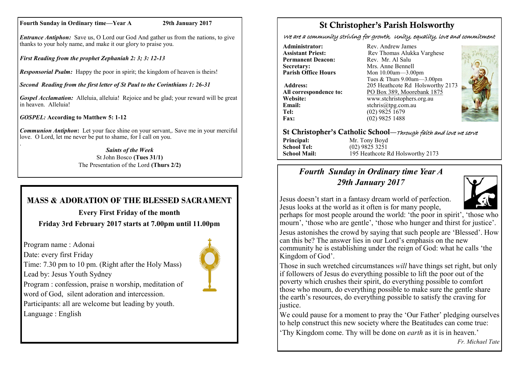#### **Fourth Sunday in Ordinary time—Year A 29th January 2017**

*Entrance Antiphon:* Save us, O Lord our God And gather us from the nations, to give thanks to your holy name, and make it our glory to praise you.

*First Reading from the prophet Zephaniah 2: 3; 3: 12-13*

*Responsorial Psalm:* Happy the poor in spirit; the kingdom of heaven is theirs!

*Second Reading from the first letter of St Paul to the Corinthians 1: 26-31*

*Gospel Acclamation:* Alleluia, alleluia! Rejoice and be glad; your reward will be great in heaven. Alleluia!

*GOSPEL:* **According to Matthew 5: 1-12**

*Communion Antiphon***:** Let your face shine on your servant,. Save me in your merciful love. O Lord, let me never be put to shame, for I call on you. .

*Saints of the Week* St John Bosco **(Tues 31/1)**  The Presentation of the Lord **(Thurs 2/2)**

# **MASS & ADORATION OF THE BLESSED SACRAMENT**

**Every First Friday of the month Friday 3rd February 2017 starts at 7.00pm until 11.00pm**

Program name : Adonai

Date: every first Friday

Lead by: Jesus Youth Sydney

Program : confession, praise n worship, meditation of word of God, silent adoration and intercession.

Time: 7.30 pm to 10 pm. (Right after the Holy Mass)

Participants: all are welcome but leading by youth. Language : English



We are a community striving for growth, Unity, equality, love and commitment

**Administrator:** Rev. Andrew James<br> **Assistant Priest:** Rev Thomas Alukka **Permanent Deacon:**<br>Secretary: **Secretary:** Mrs. Anne Bennell<br> **Parish Office Hours** Mon 10.00am - 3.00

**Email:** stchris@tpg.com.au<br> **Tel:** (02) 9825 1679 **Tel:** (02) 9825 1679<br>**Fax:** (02) 9825 1488

Rev Thomas Alukka Varghese<br>Rev. Mr. Al Salu **Mon 10.00am—3.00pm** Tues & Thurs 9.00am—3.00pm **Address:** 205 Heathcote Rd Holsworthy 2173 **All correspondence to:** PO Box 389, Moorebank 1875 **Website:** www.stchristophers.org.au<br> **Email:** stchris@tng.com au **Fax:** (02) 9825 1488



## St Christopher's Catholic School—Through faith and love we serve

**Principal:** Mr. Tony Boyd **School Tel:** (02) 9825 3251

**School Mail:** 195 Heathcote Rd Holsworthy 2173

## *Fourth Sunday in Ordinary time Year A 29th January 2017*



Jesus doesn't start in a fantasy dream world of perfection. Jesus looks at the world as it often is for many people,

perhaps for most people around the world: 'the poor in spirit', 'those who mourn', 'those who are gentle', 'those who hunger and thirst for justice'.

Jesus astonishes the crowd by saying that such people are 'Blessed'. How can this be? The answer lies in our Lord's emphasis on the new community he is establishing under the reign of God: what he calls 'the Kingdom of God'.

Those in such wretched circumstances *will* have things set right, but only if followers of Jesus do everything possible to lift the poor out of the poverty which crushes their spirit, do everything possible to comfort those who mourn, do everything possible to make sure the gentle share the earth's resources, do everything possible to satisfy the craving for justice.

We could pause for a moment to pray the 'Our Father' pledging ourselves to help construct this new society where the Beatitudes can come true:

'Thy Kingdom come. Thy will be done on *earth* as it is in heaven.'

*Fr. Michael Tate*